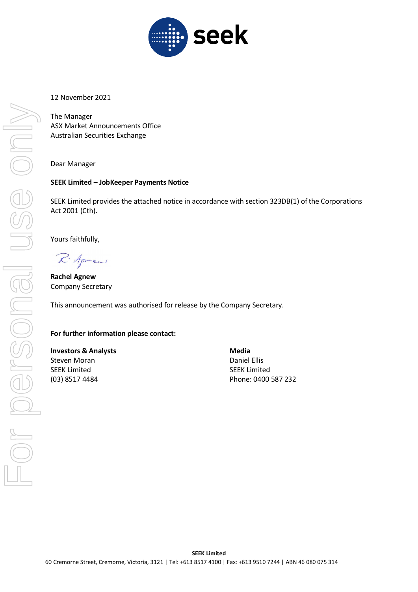

### 12 November 2021

The Manager ASX Market Announcements Office Australian Securities Exchange

### Dear Manager

### **SEEK Limited – JobKeeper Payments Notice**

SEEK Limited provides the attached notice in accordance with section 323DB(1) of the Corporations Act 2001 (Cth).

Yours faithfully,

R. Agres

**Rachel Agnew** Company Secretary

This announcement was authorised for release by the Company Secretary.

### **For further information please contact:**

## **Investors & Analysts Media Media** Steven Moran **Daniel Ellis** SEEK Limited SEEK Limited

(03) 8517 4484 Phone: 0400 587 232